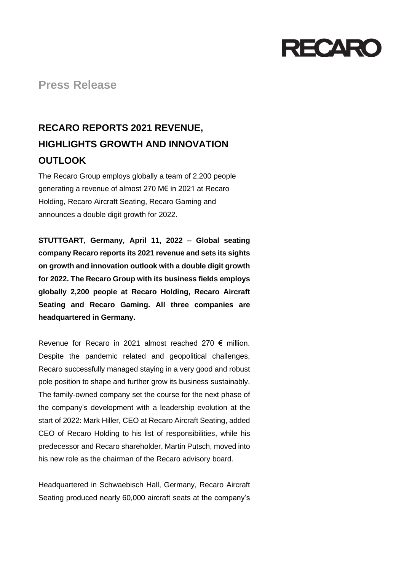

**Press Release**

## **RECARO REPORTS 2021 REVENUE, HIGHLIGHTS GROWTH AND INNOVATION OUTLOOK**

The Recaro Group employs globally a team of 2,200 people generating a revenue of almost 270 M€ in 2021 at Recaro Holding, Recaro Aircraft Seating, Recaro Gaming and announces a double digit growth for 2022.

**STUTTGART, Germany, April 11, 2022 – Global seating company Recaro reports its 2021 revenue and sets its sights on growth and innovation outlook with a double digit growth for 2022. The Recaro Group with its business fields employs globally 2,200 people at Recaro Holding, Recaro Aircraft Seating and Recaro Gaming. All three companies are headquartered in Germany.**

Revenue for Recaro in 2021 almost reached 270 € million. Despite the pandemic related and geopolitical challenges, Recaro successfully managed staying in a very good and robust pole position to shape and further grow its business sustainably. The family-owned company set the course for the next phase of the company's development with a leadership evolution at the start of 2022: Mark Hiller, CEO at Recaro Aircraft Seating, added CEO of Recaro Holding to his list of responsibilities, while his predecessor and Recaro shareholder, Martin Putsch, moved into his new role as the chairman of the Recaro advisory board.

Headquartered in Schwaebisch Hall, Germany, Recaro Aircraft Seating produced nearly 60,000 aircraft seats at the company's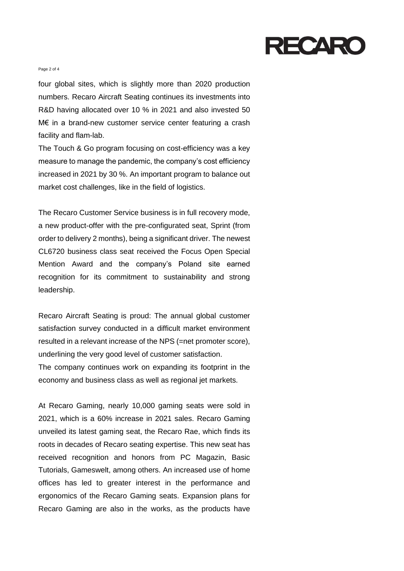

## Page 2 of 4

four global sites, which is slightly more than 2020 production numbers. Recaro Aircraft Seating continues its investments into R&D having allocated over 10 % in 2021 and also invested 50 M€ in a brand-new customer service center featuring a crash facility and flam-lab.

The Touch & Go program focusing on cost-efficiency was a key measure to manage the pandemic, the company's cost efficiency increased in 2021 by 30 %. An important program to balance out market cost challenges, like in the field of logistics.

The Recaro Customer Service business is in full recovery mode, a new product-offer with the pre-configurated seat, Sprint (from order to delivery 2 months), being a significant driver. The newest CL6720 business class seat received the Focus Open Special Mention Award and the company's Poland site earned recognition for its commitment to sustainability and strong leadership.

Recaro Aircraft Seating is proud: The annual global customer satisfaction survey conducted in a difficult market environment resulted in a relevant increase of the NPS (=net promoter score), underlining the very good level of customer satisfaction. The company continues work on expanding its footprint in the economy and business class as well as regional jet markets.

At Recaro Gaming, nearly 10,000 gaming seats were sold in 2021, which is a 60% increase in 2021 sales. Recaro Gaming unveiled its latest gaming seat, the Recaro Rae, which finds its roots in decades of Recaro seating expertise. This new seat has received recognition and honors from PC Magazin, Basic Tutorials, Gameswelt, among others. An increased use of home offices has led to greater interest in the performance and ergonomics of the Recaro Gaming seats. Expansion plans for Recaro Gaming are also in the works, as the products have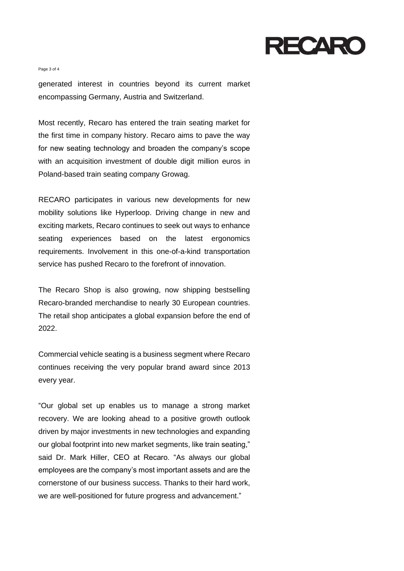

Page 3 of 4

generated interest in countries beyond its current market encompassing Germany, Austria and Switzerland.

Most recently, Recaro has entered the train seating market for the first time in company history. Recaro aims to pave the way for new seating technology and broaden the company's scope with an acquisition investment of double digit million euros in Poland-based train seating company Growag.

RECARO participates in various new developments for new mobility solutions like Hyperloop. Driving change in new and exciting markets, Recaro continues to seek out ways to enhance seating experiences based on the latest ergonomics requirements. Involvement in this one-of-a-kind transportation service has pushed Recaro to the forefront of innovation.

The Recaro Shop is also growing, now shipping bestselling Recaro-branded merchandise to nearly 30 European countries. The retail shop anticipates a global expansion before the end of 2022.

Commercial vehicle seating is a business segment where Recaro continues receiving the very popular brand award since 2013 every year.

"Our global set up enables us to manage a strong market recovery. We are looking ahead to a positive growth outlook driven by major investments in new technologies and expanding our global footprint into new market segments, like train seating," said Dr. Mark Hiller, CEO at Recaro. "As always our global employees are the company's most important assets and are the cornerstone of our business success. Thanks to their hard work, we are well-positioned for future progress and advancement."